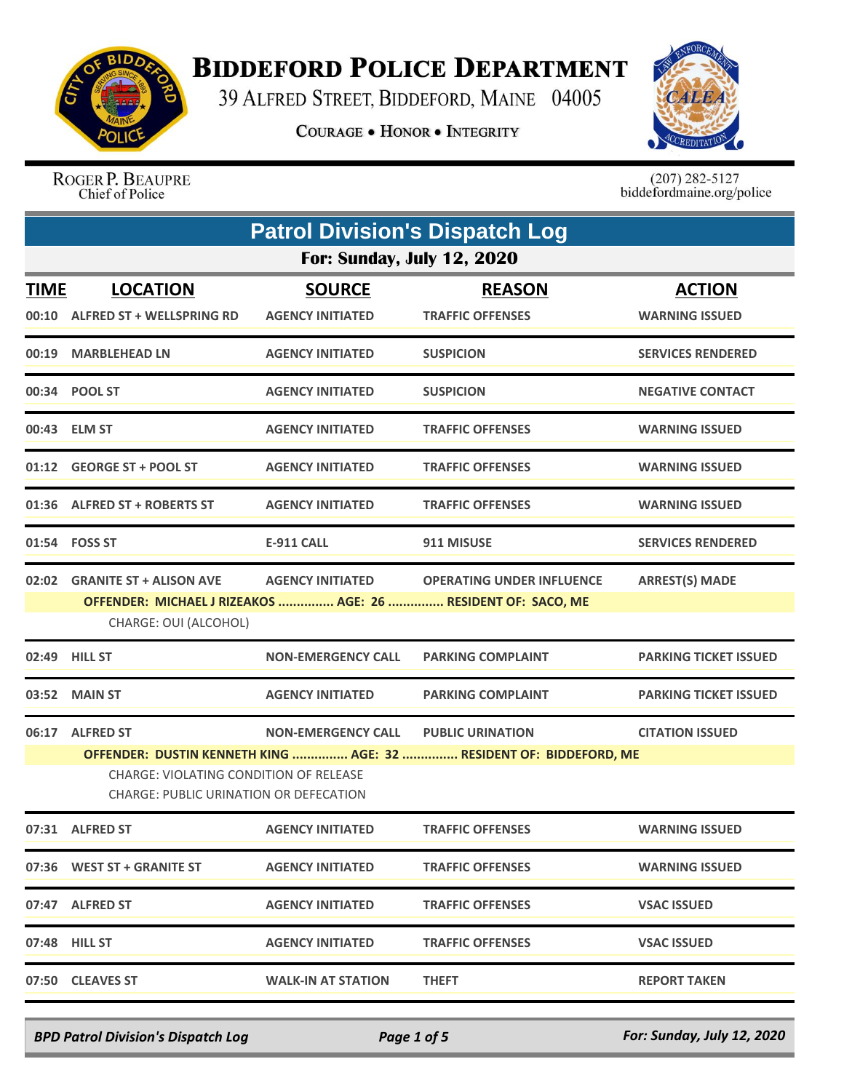

## **BIDDEFORD POLICE DEPARTMENT**

39 ALFRED STREET, BIDDEFORD, MAINE 04005

**COURAGE . HONOR . INTEGRITY** 



ROGER P. BEAUPRE<br>Chief of Police

 $(207)$  282-5127<br>biddefordmaine.org/police

|             | <b>Patrol Division's Dispatch Log</b>                                                                |                                          |                                                                                                  |                                        |  |  |
|-------------|------------------------------------------------------------------------------------------------------|------------------------------------------|--------------------------------------------------------------------------------------------------|----------------------------------------|--|--|
|             | <b>For: Sunday, July 12, 2020</b>                                                                    |                                          |                                                                                                  |                                        |  |  |
| <b>TIME</b> | <b>LOCATION</b><br>00:10 ALFRED ST + WELLSPRING RD                                                   | <b>SOURCE</b><br><b>AGENCY INITIATED</b> | <b>REASON</b><br><b>TRAFFIC OFFENSES</b>                                                         | <b>ACTION</b><br><b>WARNING ISSUED</b> |  |  |
|             | 00:19 MARBLEHEAD LN                                                                                  | <b>AGENCY INITIATED</b>                  | <b>SUSPICION</b>                                                                                 | <b>SERVICES RENDERED</b>               |  |  |
|             | 00:34 POOL ST                                                                                        | <b>AGENCY INITIATED</b>                  | <b>SUSPICION</b>                                                                                 | <b>NEGATIVE CONTACT</b>                |  |  |
|             | 00:43 ELM ST                                                                                         | <b>AGENCY INITIATED</b>                  | <b>TRAFFIC OFFENSES</b>                                                                          | <b>WARNING ISSUED</b>                  |  |  |
|             | 01:12 GEORGE ST + POOL ST                                                                            | <b>AGENCY INITIATED</b>                  | <b>TRAFFIC OFFENSES</b>                                                                          | <b>WARNING ISSUED</b>                  |  |  |
|             | 01:36 ALFRED ST + ROBERTS ST                                                                         | <b>AGENCY INITIATED</b>                  | <b>TRAFFIC OFFENSES</b>                                                                          | <b>WARNING ISSUED</b>                  |  |  |
|             | 01:54 FOSS ST                                                                                        | <b>E-911 CALL</b>                        | 911 MISUSE                                                                                       | <b>SERVICES RENDERED</b>               |  |  |
| 02:02       | <b>GRANITE ST + ALISON AVE</b><br>CHARGE: OUI (ALCOHOL)                                              | <b>AGENCY INITIATED</b>                  | <b>OPERATING UNDER INFLUENCE</b><br>OFFENDER: MICHAEL J RIZEAKOS  AGE: 26  RESIDENT OF: SACO, ME | <b>ARREST(S) MADE</b>                  |  |  |
|             | 02:49 HILL ST                                                                                        | <b>NON-EMERGENCY CALL</b>                | <b>PARKING COMPLAINT</b>                                                                         | <b>PARKING TICKET ISSUED</b>           |  |  |
| 03:52       | <b>MAIN ST</b>                                                                                       | <b>AGENCY INITIATED</b>                  | <b>PARKING COMPLAINT</b>                                                                         | <b>PARKING TICKET ISSUED</b>           |  |  |
| 06:17       | <b>ALFRED ST</b><br>CHARGE: VIOLATING CONDITION OF RELEASE<br>CHARGE: PUBLIC URINATION OR DEFECATION | <b>NON-EMERGENCY CALL</b>                | <b>PUBLIC URINATION</b><br>OFFENDER: DUSTIN KENNETH KING  AGE: 32  RESIDENT OF: BIDDEFORD, ME    | <b>CITATION ISSUED</b>                 |  |  |
|             | 07:31 ALFRED ST                                                                                      | <b>AGENCY INITIATED</b>                  | <b>TRAFFIC OFFENSES</b>                                                                          | <b>WARNING ISSUED</b>                  |  |  |
|             | 07:36 WEST ST + GRANITE ST                                                                           | <b>AGENCY INITIATED</b>                  | <b>TRAFFIC OFFENSES</b>                                                                          | <b>WARNING ISSUED</b>                  |  |  |
|             | 07:47 ALFRED ST                                                                                      | <b>AGENCY INITIATED</b>                  | <b>TRAFFIC OFFENSES</b>                                                                          | <b>VSAC ISSUED</b>                     |  |  |
|             | 07:48 HILL ST                                                                                        | <b>AGENCY INITIATED</b>                  | <b>TRAFFIC OFFENSES</b>                                                                          | <b>VSAC ISSUED</b>                     |  |  |
|             | 07:50 CLEAVES ST                                                                                     | <b>WALK-IN AT STATION</b>                | <b>THEFT</b>                                                                                     | <b>REPORT TAKEN</b>                    |  |  |

*BPD Patrol Division's Dispatch Log Page 1 of 5 For: Sunday, July 12, 2020*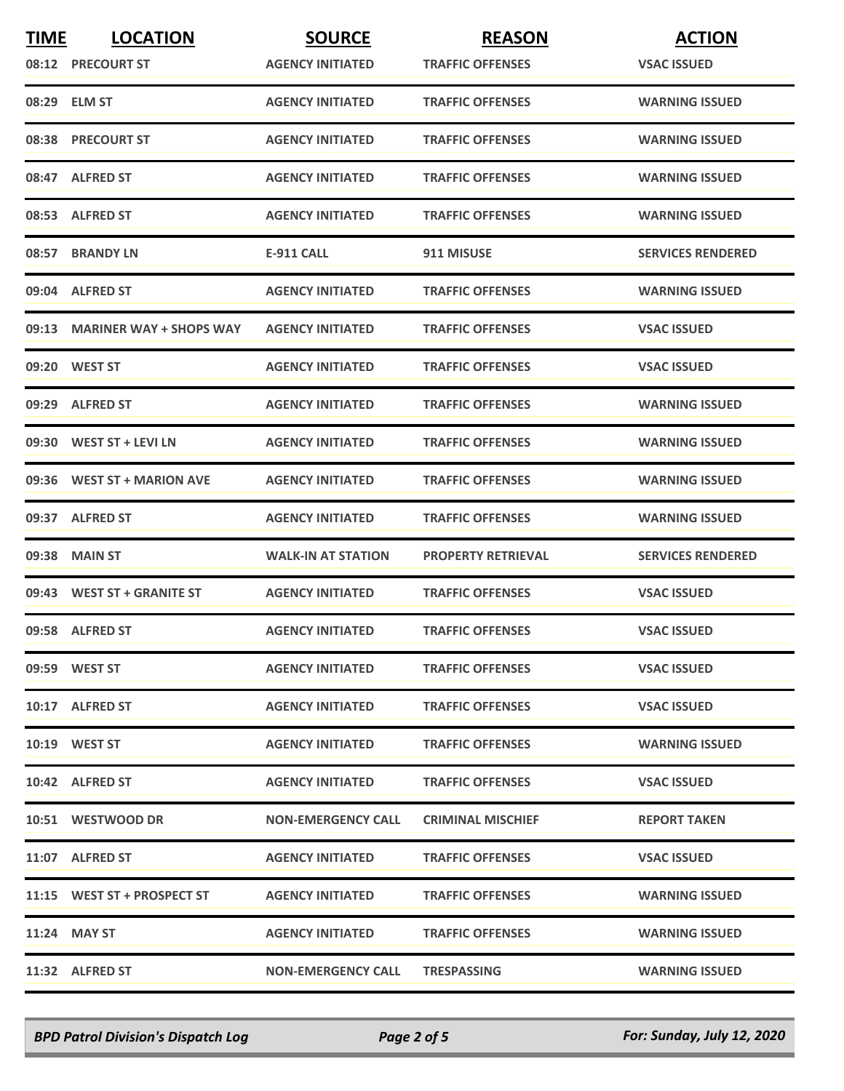| <b>TIME</b> | <b>LOCATION</b>               | <b>SOURCE</b>             | <b>REASON</b>             | <b>ACTION</b>            |
|-------------|-------------------------------|---------------------------|---------------------------|--------------------------|
|             | 08:12 PRECOURT ST             | <b>AGENCY INITIATED</b>   | <b>TRAFFIC OFFENSES</b>   | <b>VSAC ISSUED</b>       |
|             | 08:29 ELM ST                  | <b>AGENCY INITIATED</b>   | <b>TRAFFIC OFFENSES</b>   | <b>WARNING ISSUED</b>    |
|             | 08:38 PRECOURT ST             | <b>AGENCY INITIATED</b>   | <b>TRAFFIC OFFENSES</b>   | <b>WARNING ISSUED</b>    |
|             | 08:47 ALFRED ST               | <b>AGENCY INITIATED</b>   | <b>TRAFFIC OFFENSES</b>   | <b>WARNING ISSUED</b>    |
|             | 08:53 ALFRED ST               | <b>AGENCY INITIATED</b>   | <b>TRAFFIC OFFENSES</b>   | <b>WARNING ISSUED</b>    |
| 08:57       | <b>BRANDY LN</b>              | <b>E-911 CALL</b>         | 911 MISUSE                | <b>SERVICES RENDERED</b> |
|             | 09:04 ALFRED ST               | <b>AGENCY INITIATED</b>   | <b>TRAFFIC OFFENSES</b>   | <b>WARNING ISSUED</b>    |
|             | 09:13 MARINER WAY + SHOPS WAY | <b>AGENCY INITIATED</b>   | <b>TRAFFIC OFFENSES</b>   | <b>VSAC ISSUED</b>       |
|             | 09:20 WEST ST                 | <b>AGENCY INITIATED</b>   | <b>TRAFFIC OFFENSES</b>   | <b>VSAC ISSUED</b>       |
|             | 09:29 ALFRED ST               | <b>AGENCY INITIATED</b>   | <b>TRAFFIC OFFENSES</b>   | <b>WARNING ISSUED</b>    |
|             | 09:30 WEST ST + LEVI LN       | <b>AGENCY INITIATED</b>   | <b>TRAFFIC OFFENSES</b>   | <b>WARNING ISSUED</b>    |
| 09:36       | <b>WEST ST + MARION AVE</b>   | <b>AGENCY INITIATED</b>   | <b>TRAFFIC OFFENSES</b>   | <b>WARNING ISSUED</b>    |
|             | 09:37 ALFRED ST               | <b>AGENCY INITIATED</b>   | <b>TRAFFIC OFFENSES</b>   | <b>WARNING ISSUED</b>    |
|             | 09:38 MAIN ST                 | <b>WALK-IN AT STATION</b> | <b>PROPERTY RETRIEVAL</b> | <b>SERVICES RENDERED</b> |
|             | 09:43 WEST ST + GRANITE ST    | <b>AGENCY INITIATED</b>   | <b>TRAFFIC OFFENSES</b>   | <b>VSAC ISSUED</b>       |
|             | 09:58 ALFRED ST               | <b>AGENCY INITIATED</b>   | <b>TRAFFIC OFFENSES</b>   | <b>VSAC ISSUED</b>       |
|             | 09:59 WEST ST                 | <b>AGENCY INITIATED</b>   | <b>TRAFFIC OFFENSES</b>   | <b>VSAC ISSUED</b>       |
|             | 10:17 ALFRED ST               | <b>AGENCY INITIATED</b>   | <b>TRAFFIC OFFENSES</b>   | <b>VSAC ISSUED</b>       |
|             | 10:19 WEST ST                 | <b>AGENCY INITIATED</b>   | <b>TRAFFIC OFFENSES</b>   | <b>WARNING ISSUED</b>    |
|             | 10:42 ALFRED ST               | <b>AGENCY INITIATED</b>   | <b>TRAFFIC OFFENSES</b>   | <b>VSAC ISSUED</b>       |
|             | 10:51 WESTWOOD DR             | <b>NON-EMERGENCY CALL</b> | <b>CRIMINAL MISCHIEF</b>  | <b>REPORT TAKEN</b>      |
|             | 11:07 ALFRED ST               | <b>AGENCY INITIATED</b>   | <b>TRAFFIC OFFENSES</b>   | <b>VSAC ISSUED</b>       |
|             | 11:15 WEST ST + PROSPECT ST   | <b>AGENCY INITIATED</b>   | <b>TRAFFIC OFFENSES</b>   | <b>WARNING ISSUED</b>    |
|             | 11:24 MAY ST                  | <b>AGENCY INITIATED</b>   | <b>TRAFFIC OFFENSES</b>   | <b>WARNING ISSUED</b>    |
|             | 11:32 ALFRED ST               | <b>NON-EMERGENCY CALL</b> | <b>TRESPASSING</b>        | <b>WARNING ISSUED</b>    |

*BPD Patrol Division's Dispatch Log Page 2 of 5 For: Sunday, July 12, 2020*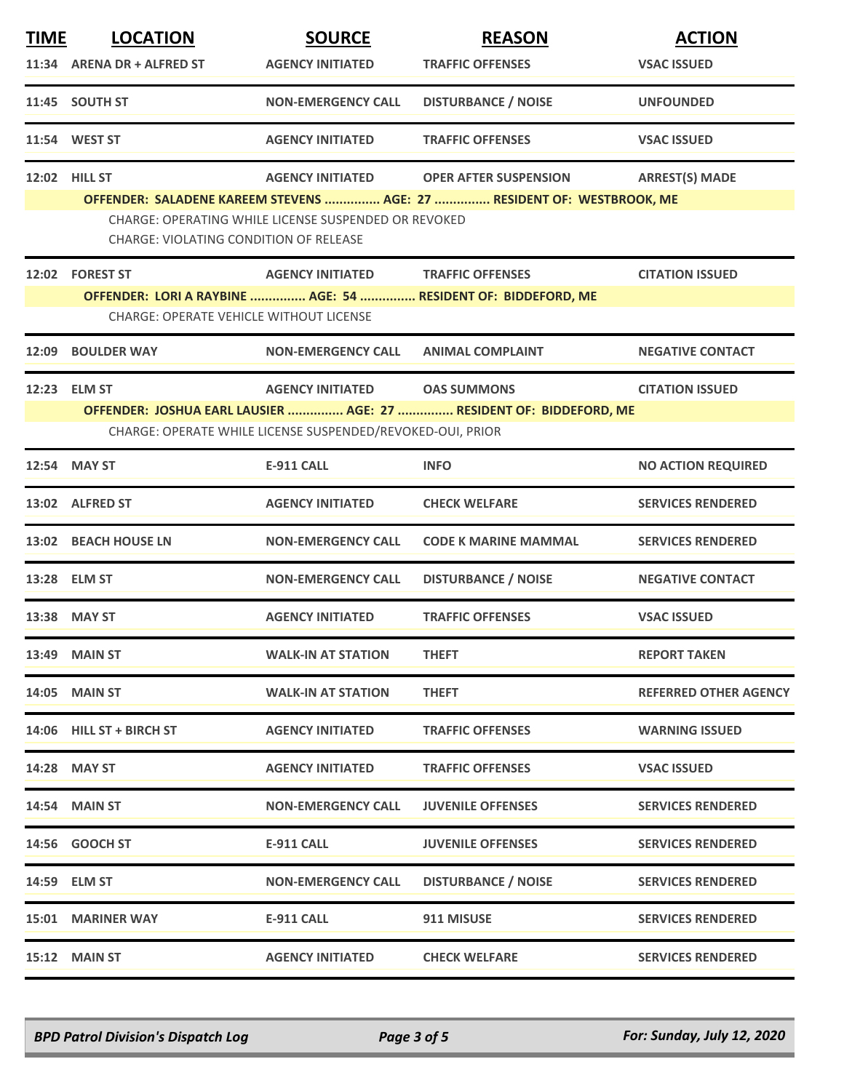| <b>TIME</b> | <b>LOCATION</b>                         | <b>SOURCE</b>                                              | <b>REASON</b>                                                          | <b>ACTION</b>                |
|-------------|-----------------------------------------|------------------------------------------------------------|------------------------------------------------------------------------|------------------------------|
|             | 11:34 ARENA DR + ALFRED ST              | <b>AGENCY INITIATED</b>                                    | <b>TRAFFIC OFFENSES</b>                                                | <b>VSAC ISSUED</b>           |
|             | 11:45 SOUTH ST                          | <b>NON-EMERGENCY CALL</b>                                  | <b>DISTURBANCE / NOISE</b>                                             | <b>UNFOUNDED</b>             |
|             | 11:54 WEST ST                           | <b>AGENCY INITIATED</b>                                    | <b>TRAFFIC OFFENSES</b>                                                | <b>VSAC ISSUED</b>           |
| 12:02       | <b>HILL ST</b>                          | <b>AGENCY INITIATED</b>                                    | <b>OPER AFTER SUSPENSION</b>                                           | <b>ARREST(S) MADE</b>        |
|             |                                         |                                                            | OFFENDER: SALADENE KAREEM STEVENS  AGE: 27  RESIDENT OF: WESTBROOK, ME |                              |
|             |                                         | CHARGE: OPERATING WHILE LICENSE SUSPENDED OR REVOKED       |                                                                        |                              |
|             | CHARGE: VIOLATING CONDITION OF RELEASE  |                                                            |                                                                        |                              |
|             | 12:02 FOREST ST                         | <b>AGENCY INITIATED</b>                                    | <b>TRAFFIC OFFENSES</b>                                                | <b>CITATION ISSUED</b>       |
|             |                                         |                                                            | OFFENDER: LORI A RAYBINE  AGE: 54  RESIDENT OF: BIDDEFORD, ME          |                              |
|             | CHARGE: OPERATE VEHICLE WITHOUT LICENSE |                                                            |                                                                        |                              |
| 12:09       | <b>BOULDER WAY</b>                      | <b>NON-EMERGENCY CALL</b>                                  | <b>ANIMAL COMPLAINT</b>                                                | <b>NEGATIVE CONTACT</b>      |
| 12:23       | <b>ELM ST</b>                           | <b>AGENCY INITIATED</b>                                    | <b>OAS SUMMONS</b>                                                     | <b>CITATION ISSUED</b>       |
|             |                                         |                                                            | OFFENDER: JOSHUA EARL LAUSIER  AGE: 27  RESIDENT OF: BIDDEFORD, ME     |                              |
|             |                                         | CHARGE: OPERATE WHILE LICENSE SUSPENDED/REVOKED-OUI, PRIOR |                                                                        |                              |
|             | 12:54 MAY ST                            | <b>E-911 CALL</b>                                          | <b>INFO</b>                                                            | <b>NO ACTION REQUIRED</b>    |
| 13:02       | <b>ALFRED ST</b>                        | <b>AGENCY INITIATED</b>                                    | <b>CHECK WELFARE</b>                                                   | <b>SERVICES RENDERED</b>     |
|             | 13:02 BEACH HOUSE LN                    | <b>NON-EMERGENCY CALL</b>                                  | <b>CODE K MARINE MAMMAL</b>                                            | <b>SERVICES RENDERED</b>     |
|             | 13:28 ELM ST                            | <b>NON-EMERGENCY CALL</b>                                  | <b>DISTURBANCE / NOISE</b>                                             | <b>NEGATIVE CONTACT</b>      |
|             | 13:38 MAY ST                            | <b>AGENCY INITIATED</b>                                    | <b>TRAFFIC OFFENSES</b>                                                | <b>VSAC ISSUED</b>           |
|             | 13:49 MAIN ST                           | <b>WALK-IN AT STATION</b>                                  | <b>THEFT</b>                                                           | <b>REPORT TAKEN</b>          |
|             | <b>14:05 MAIN ST</b>                    | <b>WALK-IN AT STATION</b>                                  | <b>THEFT</b>                                                           | <b>REFERRED OTHER AGENCY</b> |
|             | 14:06 HILL ST + BIRCH ST                | <b>AGENCY INITIATED</b>                                    | <b>TRAFFIC OFFENSES</b>                                                | <b>WARNING ISSUED</b>        |
|             | 14:28 MAY ST                            | <b>AGENCY INITIATED</b>                                    | <b>TRAFFIC OFFENSES</b>                                                | <b>VSAC ISSUED</b>           |
|             | <b>14:54 MAIN ST</b>                    | <b>NON-EMERGENCY CALL</b>                                  | <b>JUVENILE OFFENSES</b>                                               | <b>SERVICES RENDERED</b>     |
|             | 14:56 GOOCH ST                          | E-911 CALL                                                 | <b>JUVENILE OFFENSES</b>                                               | <b>SERVICES RENDERED</b>     |
|             | 14:59 ELM ST                            | <b>NON-EMERGENCY CALL</b>                                  | <b>DISTURBANCE / NOISE</b>                                             | <b>SERVICES RENDERED</b>     |
|             | <b>15:01 MARINER WAY</b>                | E-911 CALL                                                 | 911 MISUSE                                                             | <b>SERVICES RENDERED</b>     |
|             | 15:12 MAIN ST                           | <b>AGENCY INITIATED</b>                                    | <b>CHECK WELFARE</b>                                                   | <b>SERVICES RENDERED</b>     |

*BPD Patrol Division's Dispatch Log Page 3 of 5 For: Sunday, July 12, 2020*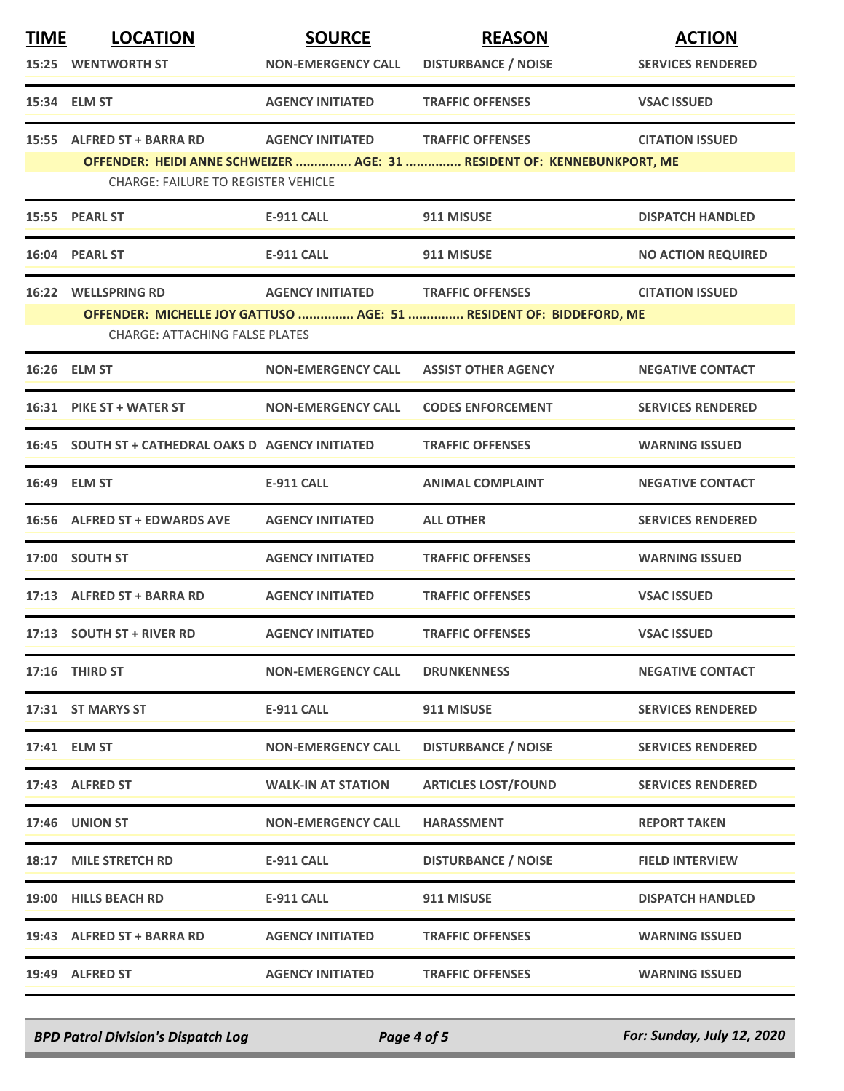| <b>TIME</b> | <b>LOCATION</b>                                                                                                       | <b>SOURCE</b>             | <b>REASON</b>              | <b>ACTION</b>             |  |
|-------------|-----------------------------------------------------------------------------------------------------------------------|---------------------------|----------------------------|---------------------------|--|
|             | <b>15:25 WENTWORTH ST</b>                                                                                             | <b>NON-EMERGENCY CALL</b> | <b>DISTURBANCE / NOISE</b> | <b>SERVICES RENDERED</b>  |  |
|             | 15:34 ELM ST                                                                                                          | <b>AGENCY INITIATED</b>   | <b>TRAFFIC OFFENSES</b>    | <b>VSAC ISSUED</b>        |  |
|             | 15:55 ALFRED ST + BARRA RD                                                                                            | <b>AGENCY INITIATED</b>   | <b>TRAFFIC OFFENSES</b>    | <b>CITATION ISSUED</b>    |  |
|             | OFFENDER: HEIDI ANNE SCHWEIZER  AGE: 31  RESIDENT OF: KENNEBUNKPORT, ME<br><b>CHARGE: FAILURE TO REGISTER VEHICLE</b> |                           |                            |                           |  |
|             | 15:55 PEARL ST                                                                                                        | <b>E-911 CALL</b>         | 911 MISUSE                 | <b>DISPATCH HANDLED</b>   |  |
|             | 16:04 PEARL ST                                                                                                        | <b>E-911 CALL</b>         | 911 MISUSE                 | <b>NO ACTION REQUIRED</b> |  |
|             | 16:22 WELLSPRING RD                                                                                                   | <b>AGENCY INITIATED</b>   | <b>TRAFFIC OFFENSES</b>    | <b>CITATION ISSUED</b>    |  |
|             | OFFENDER: MICHELLE JOY GATTUSO  AGE: 51  RESIDENT OF: BIDDEFORD, ME<br><b>CHARGE: ATTACHING FALSE PLATES</b>          |                           |                            |                           |  |
|             | 16:26 ELM ST                                                                                                          | <b>NON-EMERGENCY CALL</b> | <b>ASSIST OTHER AGENCY</b> | <b>NEGATIVE CONTACT</b>   |  |
|             | 16:31 PIKE ST + WATER ST                                                                                              | <b>NON-EMERGENCY CALL</b> | <b>CODES ENFORCEMENT</b>   | <b>SERVICES RENDERED</b>  |  |
|             | 16:45 SOUTH ST + CATHEDRAL OAKS D AGENCY INITIATED                                                                    |                           | <b>TRAFFIC OFFENSES</b>    | <b>WARNING ISSUED</b>     |  |
|             | 16:49 ELM ST                                                                                                          | <b>E-911 CALL</b>         | <b>ANIMAL COMPLAINT</b>    | <b>NEGATIVE CONTACT</b>   |  |
|             | 16:56 ALFRED ST + EDWARDS AVE                                                                                         | <b>AGENCY INITIATED</b>   | <b>ALL OTHER</b>           | <b>SERVICES RENDERED</b>  |  |
|             | 17:00 SOUTH ST                                                                                                        | <b>AGENCY INITIATED</b>   | <b>TRAFFIC OFFENSES</b>    | <b>WARNING ISSUED</b>     |  |
|             | 17:13 ALFRED ST + BARRA RD                                                                                            | <b>AGENCY INITIATED</b>   | <b>TRAFFIC OFFENSES</b>    | <b>VSAC ISSUED</b>        |  |
|             | 17:13 SOUTH ST + RIVER RD                                                                                             | <b>AGENCY INITIATED</b>   | <b>TRAFFIC OFFENSES</b>    | <b>VSAC ISSUED</b>        |  |
|             | 17:16 THIRD ST                                                                                                        | <b>NON-EMERGENCY CALL</b> | <b>DRUNKENNESS</b>         | <b>NEGATIVE CONTACT</b>   |  |
|             | 17:31 ST MARYS ST                                                                                                     | <b>E-911 CALL</b>         | 911 MISUSE                 | <b>SERVICES RENDERED</b>  |  |
|             | 17:41 ELM ST                                                                                                          | <b>NON-EMERGENCY CALL</b> | <b>DISTURBANCE / NOISE</b> | <b>SERVICES RENDERED</b>  |  |
|             | 17:43 ALFRED ST                                                                                                       | <b>WALK-IN AT STATION</b> | <b>ARTICLES LOST/FOUND</b> | <b>SERVICES RENDERED</b>  |  |
|             | <b>17:46 UNION ST</b>                                                                                                 | <b>NON-EMERGENCY CALL</b> | <b>HARASSMENT</b>          | <b>REPORT TAKEN</b>       |  |
| 18:17       | <b>MILE STRETCH RD</b>                                                                                                | <b>E-911 CALL</b>         | <b>DISTURBANCE / NOISE</b> | <b>FIELD INTERVIEW</b>    |  |
|             | 19:00 HILLS BEACH RD                                                                                                  | <b>E-911 CALL</b>         | 911 MISUSE                 | <b>DISPATCH HANDLED</b>   |  |
|             | 19:43 ALFRED ST + BARRA RD                                                                                            | <b>AGENCY INITIATED</b>   | <b>TRAFFIC OFFENSES</b>    | <b>WARNING ISSUED</b>     |  |
|             | 19:49 ALFRED ST                                                                                                       | <b>AGENCY INITIATED</b>   | <b>TRAFFIC OFFENSES</b>    | <b>WARNING ISSUED</b>     |  |

*BPD Patrol Division's Dispatch Log Page 4 of 5 For: Sunday, July 12, 2020*